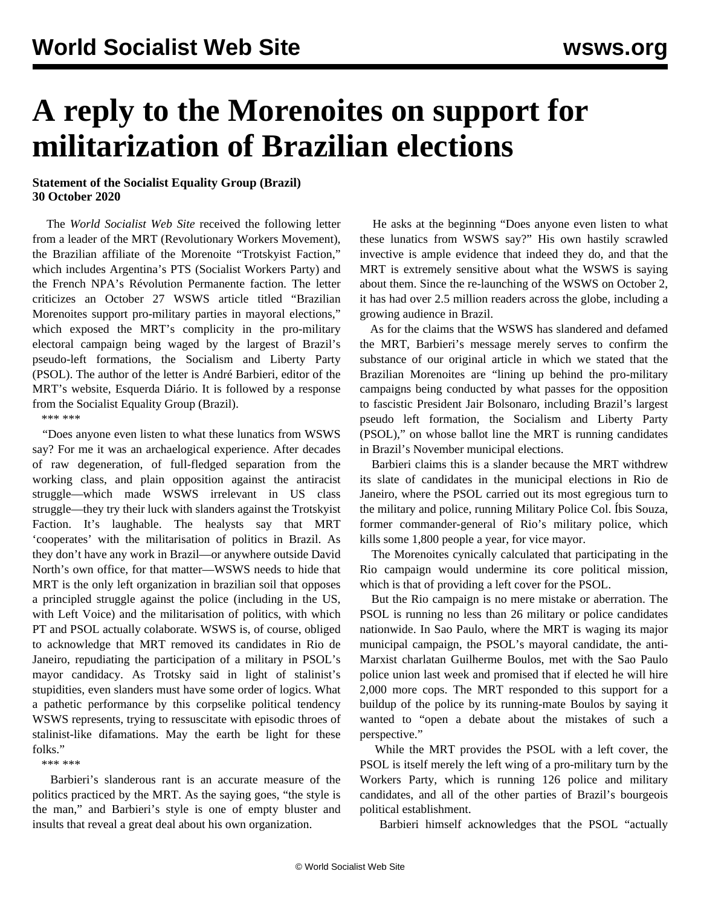## **A reply to the Morenoites on support for militarization of Brazilian elections**

## **Statement of the Socialist Equality Group (Brazil) 30 October 2020**

 The *World Socialist Web Site* received the following letter from a leader of the MRT (Revolutionary Workers Movement), the Brazilian affiliate of the Morenoite "Trotskyist Faction," which includes Argentina's PTS (Socialist Workers Party) and the French NPA's Révolution Permanente faction. The letter criticizes an October 27 WSWS article titled ["Brazilian](/en/articles/2020/10/27/bras-o27.html) [Morenoites support pro-military parties in mayoral elections](/en/articles/2020/10/27/bras-o27.html)," which exposed the MRT's complicity in the pro-military electoral campaign being waged by the largest of Brazil's pseudo-left formations, the Socialism and Liberty Party (PSOL). The author of the letter is André Barbieri, editor of the MRT's website, Esquerda Diário. It is followed by a response from the Socialist Equality Group (Brazil).

\*\*\* \*\*\*

 "Does anyone even listen to what these lunatics from WSWS say? For me it was an archaelogical experience. After decades of raw degeneration, of full-fledged separation from the working class, and plain opposition against the antiracist struggle—which made WSWS irrelevant in US class struggle—they try their luck with slanders against the Trotskyist Faction. It's laughable. The healysts say that MRT 'cooperates' with the militarisation of politics in Brazil. As they don't have any work in Brazil—or anywhere outside David North's own office, for that matter—WSWS needs to hide that MRT is the only left organization in brazilian soil that opposes a principled struggle against the police (including in the US, with Left Voice) and the militarisation of politics, with which PT and PSOL actually colaborate. WSWS is, of course, obliged to acknowledge that MRT removed its candidates in Rio de Janeiro, repudiating the participation of a military in PSOL's mayor candidacy. As Trotsky said in light of stalinist's stupidities, even slanders must have some order of logics. What a pathetic performance by this corpselike political tendency WSWS represents, trying to ressuscitate with episodic throes of stalinist-like difamations. May the earth be light for these folks."

\*\*\* \*\*\*

 Barbieri's slanderous rant is an accurate measure of the politics practiced by the MRT. As the saying goes, "the style is the man," and Barbieri's style is one of empty bluster and insults that reveal a great deal about his own organization.

 He asks at the beginning "Does anyone even listen to what these lunatics from WSWS say?" His own hastily scrawled invective is ample evidence that indeed they do, and that the MRT is extremely sensitive about what the WSWS is saying about them. Since the re-launching of the WSWS on October 2, it has had over 2.5 million readers across the globe, including a growing audience in Brazil.

 As for the claims that the WSWS has slandered and defamed the MRT, Barbieri's message merely serves to confirm the substance of our original article in which we stated that the Brazilian Morenoites are "lining up behind the pro-military campaigns being conducted by what passes for the opposition to fascistic President Jair Bolsonaro, including Brazil's largest pseudo left formation, the Socialism and Liberty Party (PSOL)," on whose ballot line the MRT is running candidates in Brazil's November municipal elections.

 Barbieri claims this is a slander because the MRT withdrew its slate of candidates in the municipal elections in Rio de Janeiro, where the PSOL carried out its most egregious turn to the military and police, running Military Police Col. Íbis Souza, former commander-general of Rio's military police, which kills some 1,800 people a year, for vice mayor.

 The Morenoites cynically calculated that participating in the Rio campaign would undermine its core political mission, which is that of providing a left cover for the PSOL.

 But the Rio campaign is no mere mistake or aberration. The PSOL is running no less than 26 military or police candidates nationwide. In Sao Paulo, where the MRT is waging its major municipal campaign, the PSOL's mayoral candidate, the anti-Marxist charlatan Guilherme Boulos, met with the Sao Paulo police union last week and promised that if elected he will hire 2,000 more cops. The MRT responded to this support for a buildup of the police by its running-mate Boulos by saying it wanted to "open a debate about the mistakes of such a perspective."

 While the MRT provides the PSOL with a left cover, the PSOL is itself merely the left wing of a pro-military turn by the Workers Party, which is running 126 police and military candidates, and all of the other parties of Brazil's bourgeois political establishment.

Barbieri himself acknowledges that the PSOL "actually